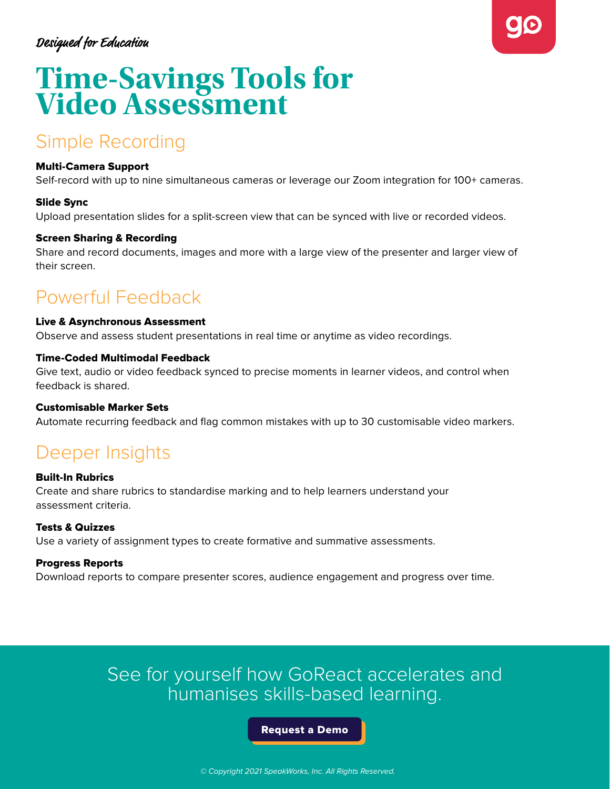### **Designed for Education**



# **Time-Savings Tools for Video Assessment**

# Simple Recording

### Multi-Camera Support

Self-record with up to nine simultaneous cameras or leverage our Zoom integration for 100+ cameras.

### Slide Sync

Upload presentation slides for a split-screen view that can be synced with live or recorded videos.

### Screen Sharing & Recording

Share and record documents, images and more with a large view of the presenter and larger view of their screen.

# Powerful Feedback

#### Live & Asynchronous Assessment

Observe and assess student presentations in real time or anytime as video recordings.

### Time-Coded Multimodal Feedback

Give text, audio or video feedback synced to precise moments in learner videos, and control when feedback is shared.

### Customisable Marker Sets

Automate recurring feedback and flag common mistakes with up to 30 customisable video markers.

### Deeper Insights

### Built-In Rubrics

Create and share rubrics to standardise marking and to help learners understand your assessment criteria.

### Tests & Quizzes

Use a variety of assignment types to create formative and summative assessments.

### Progress Reports

Download reports to compare presenter scores, audience engagement and progress over time.

### See for yourself how GoReact accelerates and humanises skills-based learning.